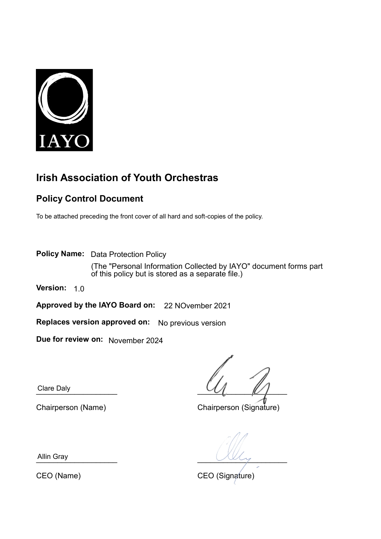

# **Irish Association of Youth Orchestras**

### **Policy Control Document**

To be attached preceding the front cover of all hard and soft-copies of the policy.

**Policy Name:**  Data Protection Policy (The "Personal Information Collected by IAYO" document forms part of this policy but is stored as a separate file.)

**Version:** 1.0

**Approved by the IAYO Board on:**  22 NOvember 2021

**Replaces version approved on:** No previous version

**Due for review on:**  November 2024

Clare Daly

Clare Daly  $\mathcal{U}_L$  ,  $\mathcal{U}_L$  ,  $\mathcal{U}_L$ 

Chairperson (Name) Chairperson (Signature)

Allin Gray  $\overline{\phantom{a}}$ 

CEO (Name) CEO (Signature)

Allin Gray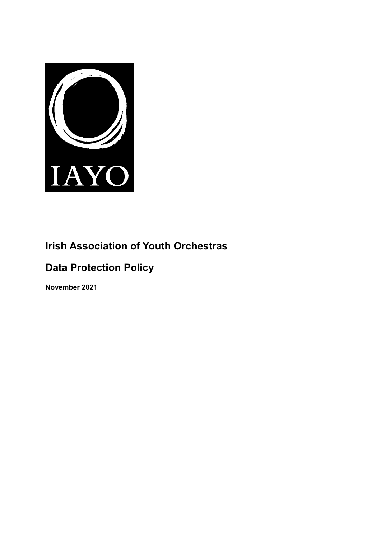

# **Irish Association of Youth Orchestras**

# **Data Protection Policy**

**November 2021**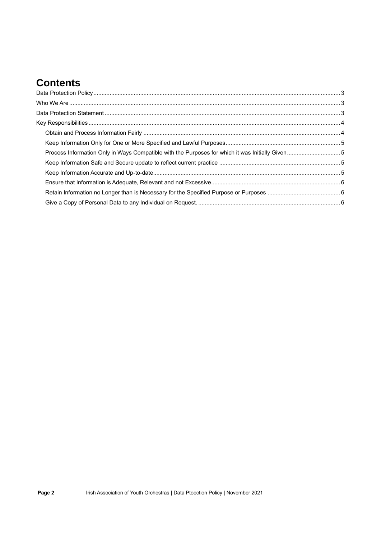## **Contents**

| Process Information Only in Ways Compatible with the Purposes for which it was Initially Given5 |  |
|-------------------------------------------------------------------------------------------------|--|
|                                                                                                 |  |
|                                                                                                 |  |
|                                                                                                 |  |
|                                                                                                 |  |
|                                                                                                 |  |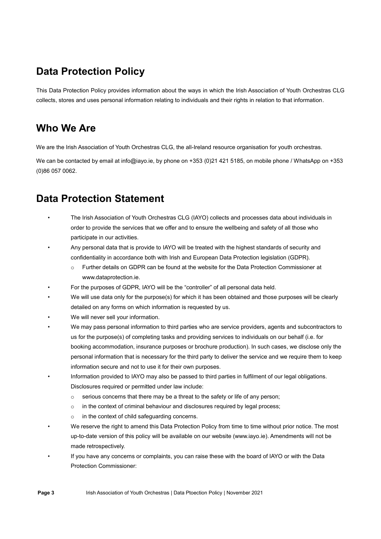## <span id="page-3-0"></span>**Data Protection Policy**

This Data Protection Policy provides information about the ways in which the Irish Association of Youth Orchestras CLG collects, stores and uses personal information relating to individuals and their rights in relation to that information.

### <span id="page-3-1"></span>**Who We Are**

We are the Irish Association of Youth Orchestras CLG, the all-Ireland resource organisation for youth orchestras.

We can be contacted by email at info@iayo.ie, by phone on +353 (0)21 421 5185, on mobile phone / WhatsApp on +353 (0)86 057 0062.

## <span id="page-3-2"></span>**Data Protection Statement**

- The Irish Association of Youth Orchestras CLG (IAYO) collects and processes data about individuals in order to provide the services that we offer and to ensure the wellbeing and safety of all those who participate in our activities.
- Any personal data that is provide to IAYO will be treated with the highest standards of security and confidentiality in accordance both with Irish and European Data Protection legislation (GDPR).
	- Further details on GDPR can be found at the website for the Data Protection Commissioner at www.dataprotection.ie.
- For the purposes of GDPR, IAYO will be the "controller" of all personal data held.
- We will use data only for the purpose(s) for which it has been obtained and those purposes will be clearly detailed on any forms on which information is requested by us.
- We will never sell your information.
- We may pass personal information to third parties who are service providers, agents and subcontractors to us for the purpose(s) of completing tasks and providing services to individuals on our behalf (i.e. for booking accommodation, insurance purposes or brochure production). In such cases, we disclose only the personal information that is necessary for the third party to deliver the service and we require them to keep information secure and not to use it for their own purposes.
- Information provided to IAYO may also be passed to third parties in fulfilment of our legal obligations. Disclosures required or permitted under law include:
	- $\circ$  serious concerns that there may be a threat to the safety or life of any person;
	- $\circ$  in the context of criminal behaviour and disclosures required by legal process;
	- o in the context of child safeguarding concerns.
- We reserve the right to amend this Data Protection Policy from time to time without prior notice. The most up-to-date version of this policy will be available on our website (www.iayo.ie). Amendments will not be made retrospectively.
- If you have any concerns or complaints, you can raise these with the board of IAYO or with the Data Protection Commissioner: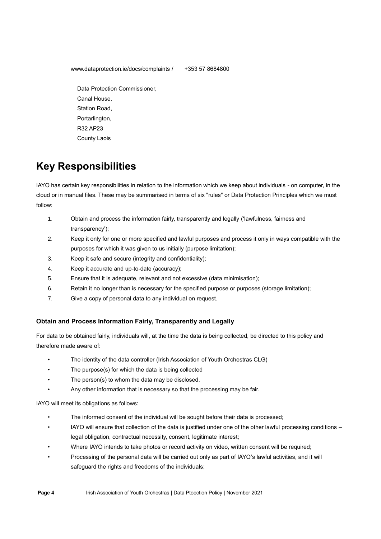www.dataprotection.ie/docs/complaints / +353 57 8684800

 Data Protection Commissioner, Canal House, Station Road, Portarlington, R32 AP23 County Laois

# <span id="page-4-0"></span>**Key Responsibilities**

IAYO has certain key responsibilities in relation to the information which we keep about individuals - on computer, in the cloud or in manual files. These may be summarised in terms of six "rules" or Data Protection Principles which we must follow:

- 1. Obtain and process the information fairly, transparently and legally ('lawfulness, fairness and transparency');
- 2. Keep it only for one or more specified and lawful purposes and process it only in ways compatible with the purposes for which it was given to us initially (purpose limitation);
- 3. Keep it safe and secure (integrity and confidentiality);
- 4. Keep it accurate and up-to-date (accuracy);
- 5. Ensure that it is adequate, relevant and not excessive (data minimisation);
- 6. Retain it no longer than is necessary for the specified purpose or purposes (storage limitation);
- 7. Give a copy of personal data to any individual on request.

### <span id="page-4-1"></span>**Obtain and Process Information Fairly, Transparently and Legally**

For data to be obtained fairly, individuals will, at the time the data is being collected, be directed to this policy and therefore made aware of:

- The identity of the data controller (Irish Association of Youth Orchestras CLG)
- The purpose(s) for which the data is being collected
- The person(s) to whom the data may be disclosed.
- Any other information that is necessary so that the processing may be fair.

IAYO will meet its obligations as follows:

- The informed consent of the individual will be sought before their data is processed;
- IAYO will ensure that collection of the data is justified under one of the other lawful processing conditions legal obligation, contractual necessity, consent, legitimate interest;
- Where IAYO intends to take photos or record activity on video, written consent will be required;
- Processing of the personal data will be carried out only as part of IAYO's lawful activities, and it will safeguard the rights and freedoms of the individuals;

**Page 4** Irish Association of Youth Orchestras | Data Ptoection Policy | November 2021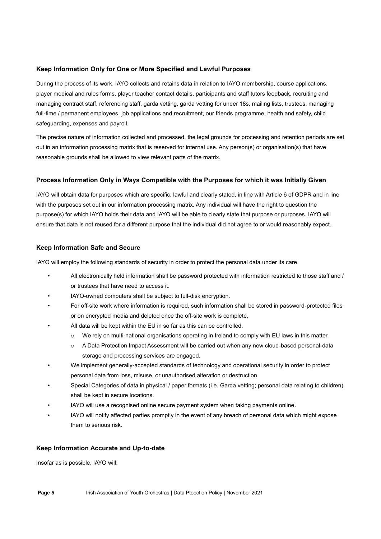### <span id="page-5-0"></span>**Keep Information Only for One or More Specified and Lawful Purposes**

During the process of its work, IAYO collects and retains data in relation to IAYO membership, course applications, player medical and rules forms, player teacher contact details, participants and staff tutors feedback, recruiting and managing contract staff, referencing staff, garda vetting, garda vetting for under 18s, mailing lists, trustees, managing full-time / permanent employees, job applications and recruitment, our friends programme, health and safety, child safeguarding, expenses and payroll.

The precise nature of information collected and processed, the legal grounds for processing and retention periods are set out in an information processing matrix that is reserved for internal use. Any person(s) or organisation(s) that have reasonable grounds shall be allowed to view relevant parts of the matrix.

### <span id="page-5-1"></span>**Process Information Only in Ways Compatible with the Purposes for which it was Initially Given**

IAYO will obtain data for purposes which are specific, lawful and clearly stated, in line with Article 6 of GDPR and in line with the purposes set out in our information processing matrix. Any individual will have the right to question the purpose(s) for which IAYO holds their data and IAYO will be able to clearly state that purpose or purposes. IAYO will ensure that data is not reused for a different purpose that the individual did not agree to or would reasonably expect.

### <span id="page-5-2"></span>**Keep Information Safe and Secure**

IAYO will employ the following standards of security in order to protect the personal data under its care.

- All electronically held information shall be password protected with information restricted to those staff and / or trustees that have need to access it.
- IAYO-owned computers shall be subject to full-disk encryption.
- For off-site work where information is required, such information shall be stored in password-protected files or on encrypted media and deleted once the off-site work is complete.
- All data will be kept within the EU in so far as this can be controlled.
	- o We rely on multi-national organisations operating in Ireland to comply with EU laws in this matter.
	- o A Data Protection Impact Assessment will be carried out when any new cloud-based personal-data storage and processing services are engaged.
- We implement generally-accepted standards of technology and operational security in order to protect personal data from loss, misuse, or unauthorised alteration or destruction.
- Special Categories of data in physical / paper formats (i.e. Garda vetting; personal data relating to children) shall be kept in secure locations.
- IAYO will use a recognised online secure payment system when taking payments online.
- IAYO will notify affected parties promptly in the event of any breach of personal data which might expose them to serious risk.

#### <span id="page-5-3"></span>**Keep Information Accurate and Up-to-date**

Insofar as is possible, IAYO will: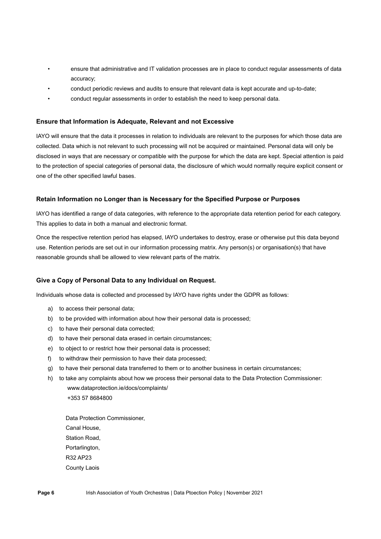- ensure that administrative and IT validation processes are in place to conduct regular assessments of data accuracy;
- conduct periodic reviews and audits to ensure that relevant data is kept accurate and up-to-date;
- conduct regular assessments in order to establish the need to keep personal data.

#### <span id="page-6-0"></span>**Ensure that Information is Adequate, Relevant and not Excessive**

IAYO will ensure that the data it processes in relation to individuals are relevant to the purposes for which those data are collected. Data which is not relevant to such processing will not be acquired or maintained. Personal data will only be disclosed in ways that are necessary or compatible with the purpose for which the data are kept. Special attention is paid to the protection of special categories of personal data, the disclosure of which would normally require explicit consent or one of the other specified lawful bases.

#### <span id="page-6-1"></span>**Retain Information no Longer than is Necessary for the Specified Purpose or Purposes**

IAYO has identified a range of data categories, with reference to the appropriate data retention period for each category. This applies to data in both a manual and electronic format.

Once the respective retention period has elapsed, IAYO undertakes to destroy, erase or otherwise put this data beyond use. Retention periods are set out in our information processing matrix. Any person(s) or organisation(s) that have reasonable grounds shall be allowed to view relevant parts of the matrix.

#### <span id="page-6-2"></span>**Give a Copy of Personal Data to any Individual on Request.**

Individuals whose data is collected and processed by IAYO have rights under the GDPR as follows:

- a) to access their personal data;
- b) to be provided with information about how their personal data is processed;
- c) to have their personal data corrected;
- d) to have their personal data erased in certain circumstances;
- e) to object to or restrict how their personal data is processed;
- f) to withdraw their permission to have their data processed;
- g) to have their personal data transferred to them or to another business in certain circumstances;
- h) to take any complaints about how we process their personal data to the Data Protection Commissioner: www.dataprotection.ie/docs/complaints/ +353 57 8684800

 Data Protection Commissioner, Canal House, Station Road, Portarlington, R32 AP23 County Laois